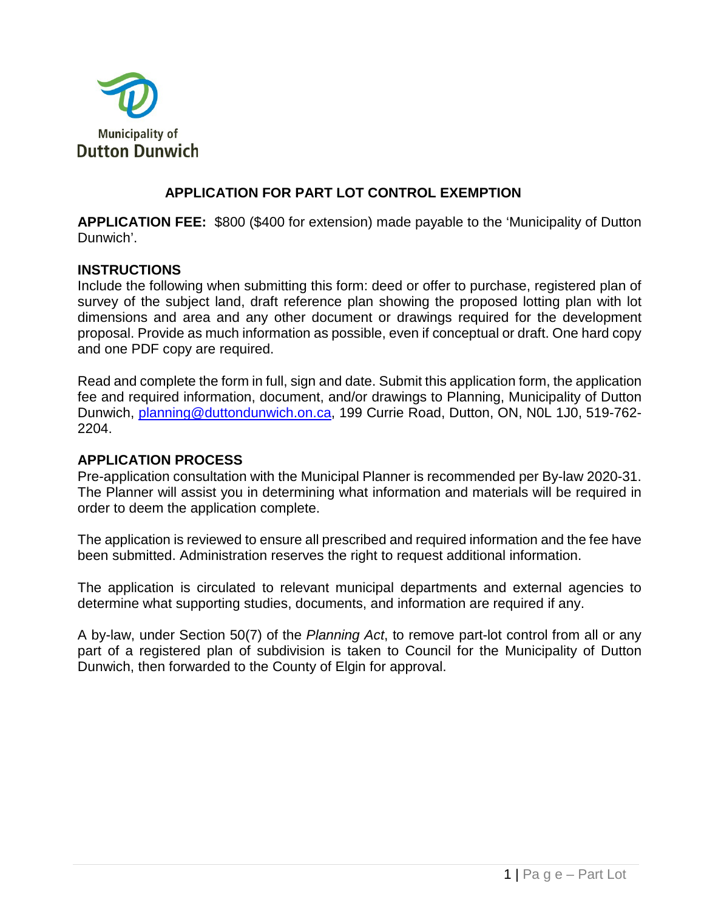

## **APPLICATION FOR PART LOT CONTROL EXEMPTION**

**APPLICATION FEE:** \$800 (\$400 for extension) made payable to the 'Municipality of Dutton Dunwich'.

### **INSTRUCTIONS**

Include the following when submitting this form: deed or offer to purchase, registered plan of survey of the subject land, draft reference plan showing the proposed lotting plan with lot dimensions and area and any other document or drawings required for the development proposal. Provide as much information as possible, even if conceptual or draft. One hard copy and one PDF copy are required.

Read and complete the form in full, sign and date. Submit this application form, the application fee and required information, document, and/or drawings to Planning, Municipality of Dutton Dunwich, [planning@duttondunwich.on.ca,](mailto:planning@duttondunwich.on.ca) 199 Currie Road, Dutton, ON, N0L 1J0, 519-762- 2204.

#### **APPLICATION PROCESS**

Pre-application consultation with the Municipal Planner is recommended per By-law 2020-31. The Planner will assist you in determining what information and materials will be required in order to deem the application complete.

The application is reviewed to ensure all prescribed and required information and the fee have been submitted. Administration reserves the right to request additional information.

The application is circulated to relevant municipal departments and external agencies to determine what supporting studies, documents, and information are required if any.

A by-law, under Section 50(7) of the *Planning Act*, to remove part-lot control from all or any part of a registered plan of subdivision is taken to Council for the Municipality of Dutton Dunwich, then forwarded to the County of Elgin for approval.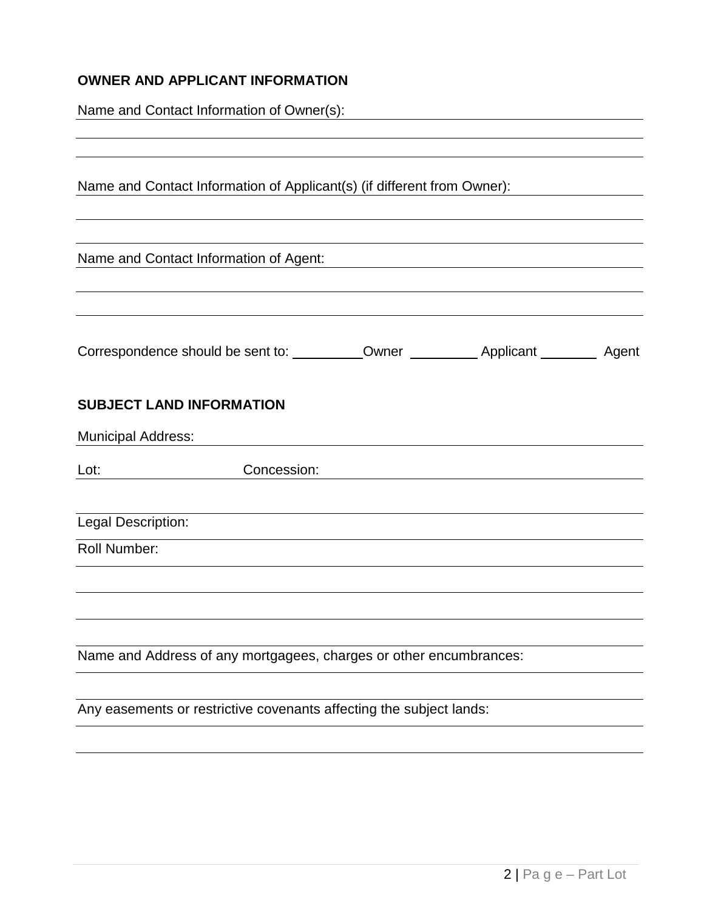# **OWNER AND APPLICANT INFORMATION**

Name and Contact Information of Owner(s):

| Name and Contact Information of Applicant(s) (if different from Owner): |             |  |  |
|-------------------------------------------------------------------------|-------------|--|--|
| Name and Contact Information of Agent:                                  |             |  |  |
|                                                                         |             |  |  |
| <b>SUBJECT LAND INFORMATION</b>                                         |             |  |  |
| <b>Municipal Address:</b>                                               |             |  |  |
| Lot:                                                                    | Concession: |  |  |
| Legal Description:                                                      |             |  |  |
| Roll Number:                                                            |             |  |  |
|                                                                         |             |  |  |
|                                                                         |             |  |  |
| Name and Address of any mortgagees, charges or other encumbrances:      |             |  |  |
| Any easements or restrictive covenants affecting the subject lands:     |             |  |  |
|                                                                         |             |  |  |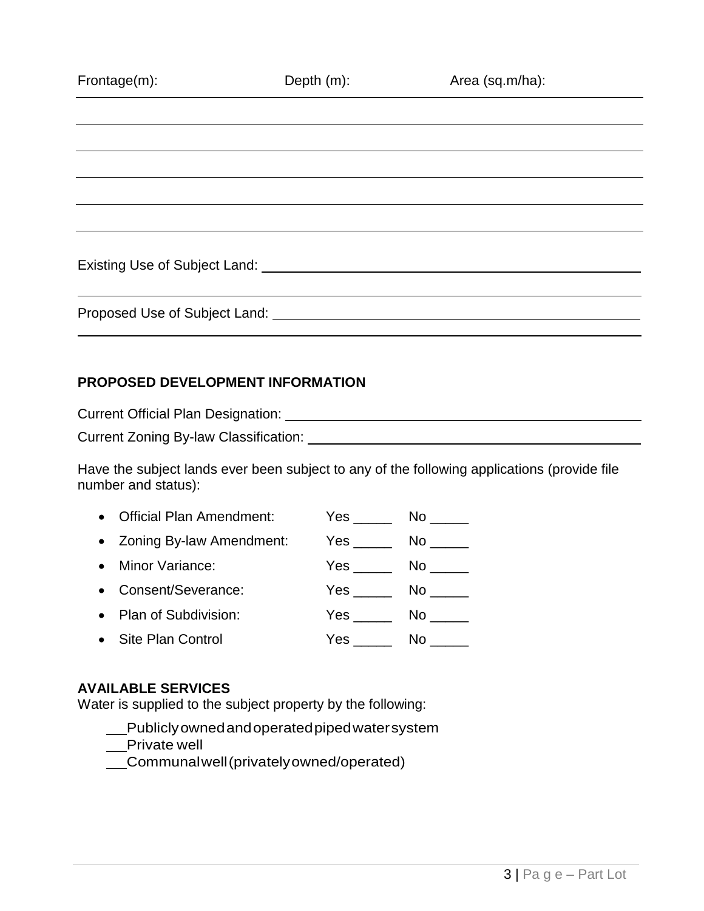| Frontage(m):                  | Depth $(m)$ : | Area (sq.m/ha): |
|-------------------------------|---------------|-----------------|
|                               |               |                 |
|                               |               |                 |
|                               |               |                 |
|                               |               |                 |
|                               |               |                 |
|                               |               |                 |
|                               |               |                 |
| Proposed Use of Subject Land: |               |                 |

### **PROPOSED DEVELOPMENT INFORMATION**

Current Official Plan Designation: Current Zoning By-law Classification:

Have the subject lands ever been subject to any of the following applications (provide file number and status):

| • Official Plan Amendment: | $Yes \_\_$             | No control of the set of the set of the set of the set of the set of the set of the set of the set of the set o                                                                                                                |
|----------------------------|------------------------|--------------------------------------------------------------------------------------------------------------------------------------------------------------------------------------------------------------------------------|
| • Zoning By-law Amendment: | <b>Yes</b>             | No control of the set of the set of the set of the set of the set of the set of the set of the set of the set o                                                                                                                |
| • Minor Variance:          | <b>Yes</b>             | No control of the set of the set of the set of the set of the set of the set of the set of the set of the set o                                                                                                                |
| • Consent/Severance:       | Yes $\_\_\_\_\_\_\_\$  | No control of the set of the set of the set of the set of the set of the set of the set of the set of the set o                                                                                                                |
| • Plan of Subdivision:     | Yes                    | No control to the North State of the North State of the North State of the North State of the North State of the North State of the North State of the North State of the North State of the North State of the North State of |
| • Site Plan Control        | Yes $\qquad \qquad \_$ | No.                                                                                                                                                                                                                            |

# **AVAILABLE SERVICES**

Water is supplied to the subject property by the following:

Publiclyownedandoperatedpipedwatersystem

Private well

Communalwell(privatelyowned/operated)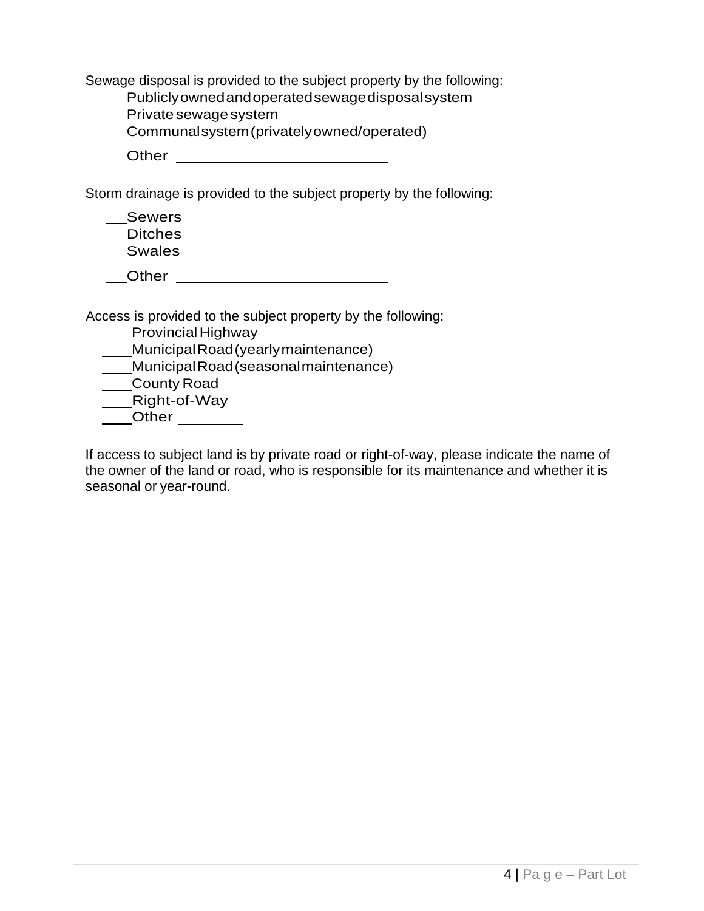Sewage disposal is provided to the subject property by the following:

- Publiclyownedandoperatedsewagedisposalsystem
- \_\_Private sewage system
- Communalsystem(privatelyowned/operated)

Other

Storm drainage is provided to the subject property by the following:

\_\_Sewers Ditches

Swales

\_\_\_Other \_\_\_\_\_\_\_\_\_\_\_\_\_\_\_\_\_\_\_\_\_\_\_\_\_\_

Access is provided to the subject property by the following:

**\_\_\_\_Provincial Highway** 

MunicipalRoad(yearlymaintenance)

MunicipalRoad(seasonalmaintenance)

County Road

Right-of-Way

**Other Communist Communist Communist Communist Communist Communist Communist Communist Communist Communist Communist Communist Communist Communist Communist Communist Communist Communist Communist Communist Communist Com** 

If access to subject land is by private road or right-of-way, please indicate the name of the owner of the land or road, who is responsible for its maintenance and whether it is seasonal or year-round.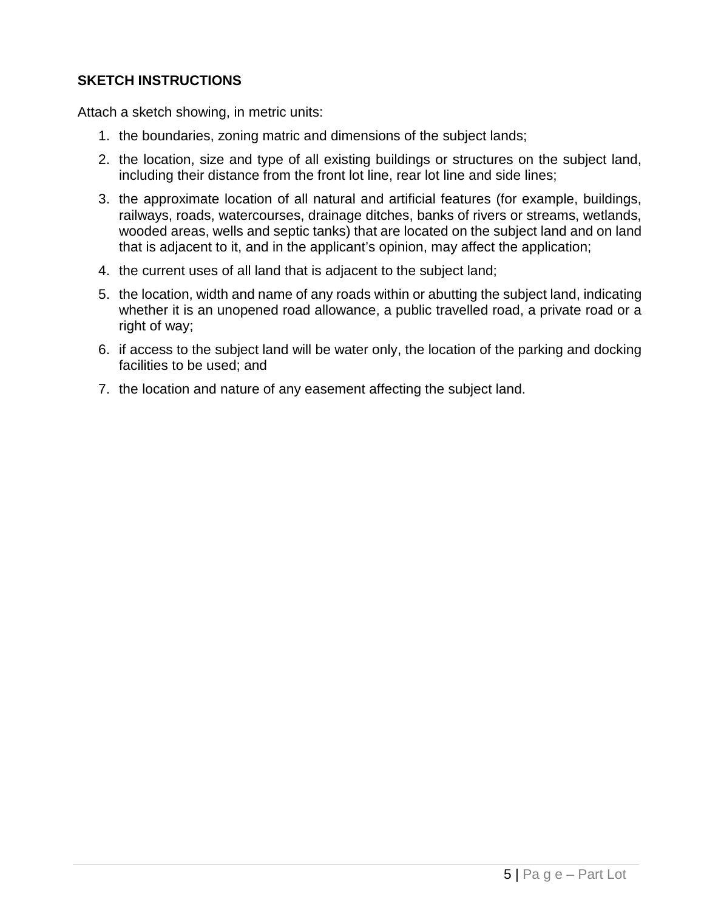## **SKETCH INSTRUCTIONS**

Attach a sketch showing, in metric units:

- 1. the boundaries, zoning matric and dimensions of the subject lands;
- 2. the location, size and type of all existing buildings or structures on the subject land, including their distance from the front lot line, rear lot line and side lines;
- 3. the approximate location of all natural and artificial features (for example, buildings, railways, roads, watercourses, drainage ditches, banks of rivers or streams, wetlands, wooded areas, wells and septic tanks) that are located on the subject land and on land that is adjacent to it, and in the applicant's opinion, may affect the application;
- 4. the current uses of all land that is adjacent to the subject land;
- 5. the location, width and name of any roads within or abutting the subject land, indicating whether it is an unopened road allowance, a public travelled road, a private road or a right of way;
- 6. if access to the subject land will be water only, the location of the parking and docking facilities to be used; and
- 7. the location and nature of any easement affecting the subject land.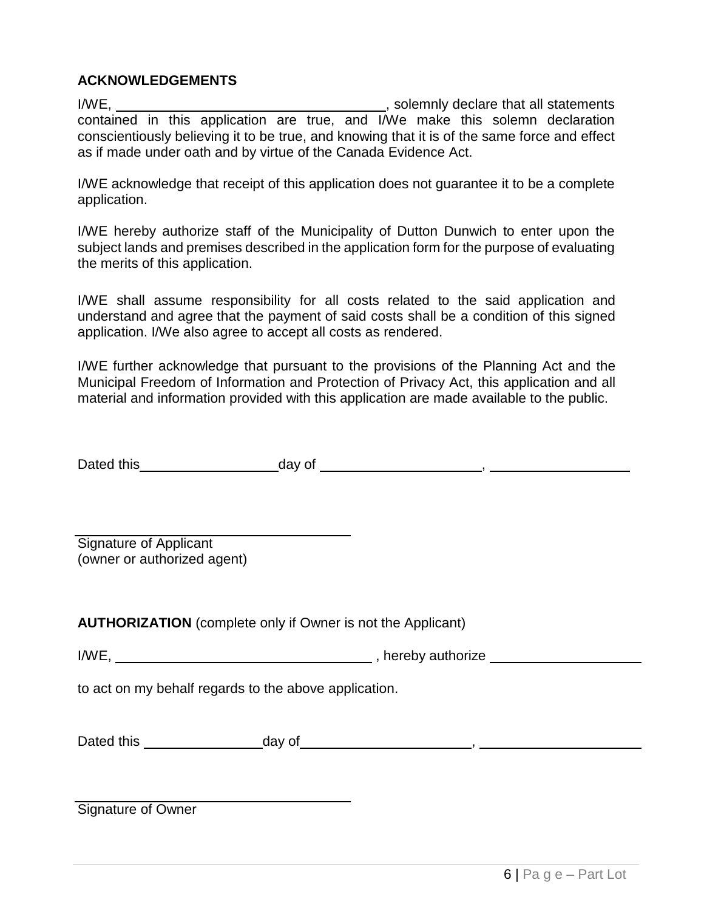### **ACKNOWLEDGEMENTS**

I/WE, , solemnly declare that all statements contained in this application are true, and I/We make this solemn declaration conscientiously believing it to be true, and knowing that it is of the same force and effect as if made under oath and by virtue of the Canada Evidence Act.

I/WE acknowledge that receipt of this application does not guarantee it to be a complete application.

I/WE hereby authorize staff of the Municipality of Dutton Dunwich to enter upon the subject lands and premises described in the application form for the purpose of evaluating the merits of this application.

I/WE shall assume responsibility for all costs related to the said application and understand and agree that the payment of said costs shall be a condition of this signed application. I/We also agree to accept all costs as rendered.

I/WE further acknowledge that pursuant to the provisions of the Planning Act and the Municipal Freedom of Information and Protection of Privacy Act, this application and all material and information provided with this application are made available to the public.

| Dated this | day of |  |
|------------|--------|--|
|------------|--------|--|

Signature of Applicant (owner or authorized agent)

**AUTHORIZATION** (complete only if Owner is not the Applicant)

I/WE, Manual Allen and Allen and Allen and Allen and Allen and Allen and Allen and Allen and Allen and Allen and Allen and Allen and Allen and Allen and Allen and Allen and Allen and Allen and Allen and Allen and Allen and

to act on my behalf regards to the above application.

| Dated this | day of |  |
|------------|--------|--|
|            |        |  |

Signature of Owner